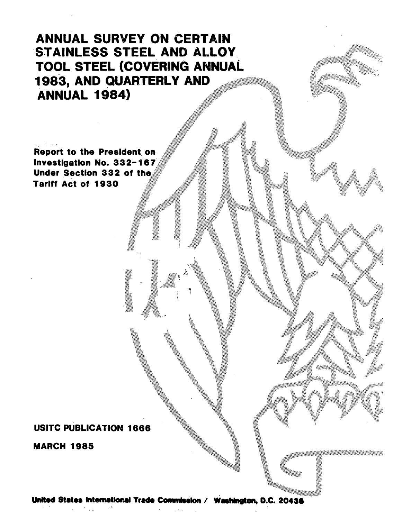**ANNUAL SURVEY ON CERTAIN** STAINLESS STEEL AND ALLOY TOOL STEEL (COVERING ANNUAL 1983, AND QUARTERLY AND **ANNUAL 1984)** 

**Report to the President on** Investigation No. 332-167 Under Section 332 of the **Tariff Act of 1930** 

# **USITC PUBLICATION 1666**

**MARCH 1985** 

# United States International Trade Commission / Washington, D.C. 20436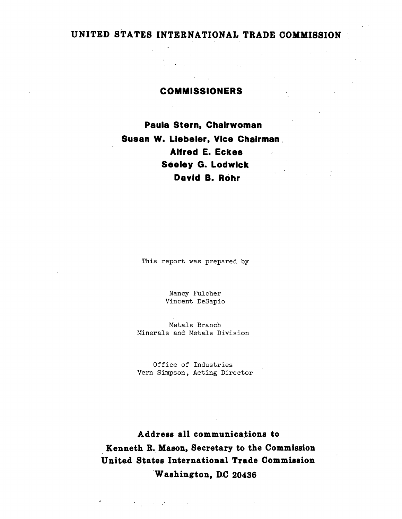# **UNITED STATES INTERNATIONAL TRADE COMMISSION**

# **COMMISSIONERS**

 $\mathcal{L}^{\mathcal{L}}(\mathcal{L}^{\mathcal{L}})$  and  $\mathcal{L}^{\mathcal{L}}(\mathcal{L}^{\mathcal{L}})$ 

**Paula Stern, Chairwoman Susan W. Llebeler, Vice Chairman** . **Alfred E. Eckes Seeley G. Lodwick David a. Rohr** 

This report was prepared by

Nancy Fulcher Vincent DeSapio

Metals Branch Minerals and Metals Division

Office of Industries Vern Simpson, Acting Director

**Address all communications to Kenneth R.\_ Mason, Secretary to the Commission United States International Trade Commission ·w ashington, D.C 20436** 

 $\mathcal{F}(\mathcal{F})$  and  $\mathcal{F}(\mathcal{F})$  and  $\mathcal{F}(\mathcal{F})$  are  $\mathcal{F}(\mathcal{F})$  .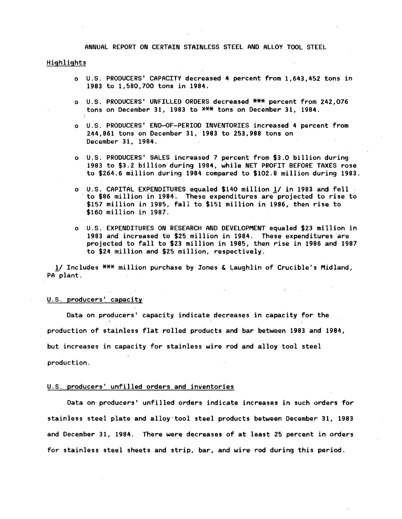ANNUAL REPORT ON CERTAIN STAINLESS STEEL AND ALLOY TOOL STEEL

#### Highlights

- 0 U.S. PRODUCERS' CAPACITY decreased 4 percent from 1,643,452 tons in 1983 to 1,580,700 tons in 1984.
- o U.S. PRODUCERS' UNFILLED ORDERS decreased \*\*\* percent from 242,076 tons on December 31, 1983 to XX<del>X</del> tons on December 31, 1984.
- 0 U.S. PRODUCERS' END-OF-PERIOD INVENTORIES increased 4 percent from 244,861 tons on December 31, 1983 to 253,988 tons on December 31, 1984.
- o U.S. PRODUCERS' SALES increased 7 percent from \$3.0 billion during 1983 to \$3.2 billion during 1984, while NET PROFIT BEFORE TAXES rose to \$264.6 million during 1984 compared to \$102.8 million during 1983.
- o U.S. CAPITAL EXPENDITURES equaled \$140 million *11* in 1983 and fell · · to \$86 million in 1984~ These expenditures are projected to rise to \$157 million in 1985, fall to \$151 million in 1986, then rise to \$160 million in 1987.
- o U.S. EXPENDITURES ON RESEARCH AND DEVELOPMENT equaled \$23 million in 1983 and increased to \$25 million in 1984. These expenditures are projected to fall to \$23 million in 1985, then rise in 1986 and 1987 to \$24 million and \$25 million, respectively.

1/ Includes  $***$  million purchase by Jones & Laughlin of Crucible's Midland, PA plant.

#### U.S. producers' capacity

Data on producers' capacity indicate decreases in capacity for the production of stainless flat rolled products and bar between 1983 and 1984, but increases in capacity for stainless wire rod and alloy tool steel production.

### U.S. producers' unfilled orders and inventories

Data on· producers' unfilled orders indicate increases in such orders for stainless steel plate and alloy·tool steel products between December 31, 1983 and December 31, 1984. There were decreases of at least 25 percent in orders for stainless steel sheets and strip, bar, and wire rod during this period.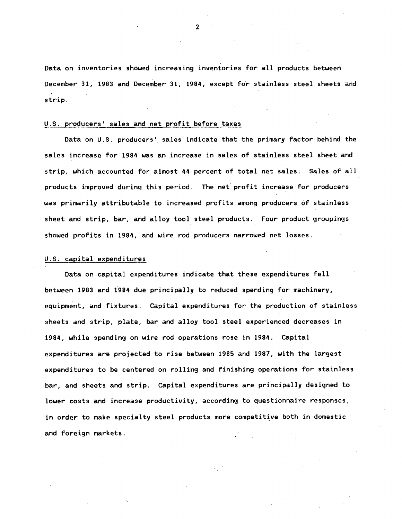Data on inventories showed increasing inventories for all products between December 31, 1983 and December 31, 1984, except for stainless steel sheets and strip.

## U.S. producers' sales and net profit before taxes

Data on U.S. producers' sales indicate that the primary factor behind the sales increase for 1984 was an increase in sales of stainless steel sheet and strip, which accounted for almost 44 percent of total net sales; Sales of all products improved during this period. The net profit increase for producers was primarily attributable to increased profits among producers of stainless sheet and strip, bar, and alloy tool steel products. Four product groupings showed profits in 1984, and wire rod producers narrowed net losses.

## U.S. capital expenditures

Data on capital expenditures indicate that these expenditures fell between 1983 and 1984 due principally to reduced spending for machinery, equipment, and fixtures. Capital expenditures for the production of stainless sheets and strip, plate, bar and alloy tool steel experienced decreases in 1984, while spending on wire rod operations rose in 1984. Capital expenditures are projected to rise between 1985 and 1987, with the largest expenditures to be centered on rolling and finishing operations for stainless bar, and sheets and strip. Capital expenditures are principally designed to lower costs and increase productivity, according to questionnaire responses, in order to make specialty steel products more competitive both in domestic and foreign markets.

 $\mathfrak{p}$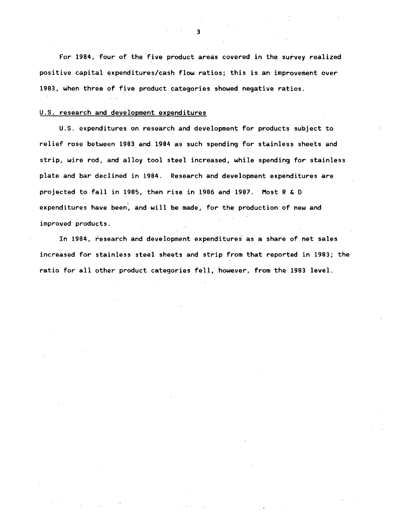For 1984, four of the five product areas covered in the survey realized positive capital expenditures/cash flow ratios; this is an improvement over 1983, when three of five product categories showed negative ratios.

#### U.S. research and development expenditures

U.S. expenditures on research and development for products subject to relief rose between 1983 and. 1984 as such spending for stainless sheets and strip, wire rod, and alloy tool steel increased, while spending for stainless plate and bar declined in 1984. Research and development expenditures are projected to fall in 1985, then rise in 1986 and 1987. Most R & D expenditures have been, and will be made, for the production of new and improved products.

In 1984, research and development expenditures as a share of net sales increased for stainless steel sheets and strip from that reported in 1983; the ratio for all other product categories fell; however, from the 1983 level.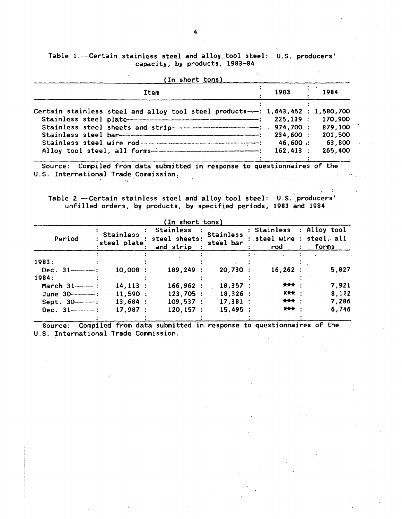# Table 1.-Certain stainless steel and alloy tool steel: U.S. producers' capacity, by products, 1983-84

 $\mathbf{r}$ 

 $\sim 10$ 

| Item                                                                                                                                                                                                                                                                                        | 1983                                                         | 1984                                               |
|---------------------------------------------------------------------------------------------------------------------------------------------------------------------------------------------------------------------------------------------------------------------------------------------|--------------------------------------------------------------|----------------------------------------------------|
| Certain stainless steel and alloy tool steel products--: 1,643,452 : 1,580,700<br>Stainless steel sheets and strip continuous control in the state of the state of the state of the State of the<br>Stainless steel wire rod<br>Alloy tool steel, all forms-------------------------------- | 225.139:<br>974,700:<br>234,600 :<br>46,600 :<br>$162,413$ : | 170,900<br>879,100<br>201,500<br>63,800<br>265,400 |

Source: Compiled from data submitted in response to questionnaires of the U.S. International Trade Commission.  $\label{eq:2.1} \frac{1}{2} \int_{\mathbb{R}^3} \frac{1}{\sqrt{2}} \, \mathrm{d} \mu \, \mathrm{d} \mu \, \mathrm{d} \mu \, \mathrm{d} \mu \, \mathrm{d} \mu \, \mathrm{d} \mu \, \mathrm{d} \mu \, \mathrm{d} \mu \, \mathrm{d} \mu \, \mathrm{d} \mu \, \mathrm{d} \mu \, \mathrm{d} \mu \, \mathrm{d} \mu \, \mathrm{d} \mu \, \mathrm{d} \mu \, \mathrm{d} \mu \, \mathrm{d} \mu \, \mathrm{d} \mu \, \mathrm{d} \mu \, \mathrm{d} \mu \,$  $\mathcal{L}(\mathcal{A})$  and  $\mathcal{L}(\mathcal{A})$  .  $\mathcal{A}=\frac{1}{2}\mathcal{A}^{\dagger}$  .  $\mathcal{L}_{\text{max}}$  and  $\mathcal{L}_{\text{max}}$  $\sim 10^{-1}$ 

 $\mathcal{L}^{\mathcal{L}}(\mathcal{L}^{\mathcal{L}})$  and  $\mathcal{L}^{\mathcal{L}}(\mathcal{L}^{\mathcal{L}})$ Table 2.-Certain stainless steel and alloy tool steel: U.S. producers' unfilled orders, by products, by specified periods, 1983 and 1984

|                         |                          | (In short tons)                         |                               |                                                                |       |
|-------------------------|--------------------------|-----------------------------------------|-------------------------------|----------------------------------------------------------------|-------|
| Period                  | Stainless<br>steel plate | Stainless<br>steel sheets:<br>and strip | <b>Stainless</b><br>steel bar | : Stainless : Alloy tool<br>: steel wire : steel, all<br>rod   | forms |
| 1983:                   |                          |                                         |                               | $\mathbf{r}=\frac{1}{2}+\frac{1}{2}$ .<br>$\rightarrow \infty$ |       |
|                         | 10.008:                  | 189,249                                 | 20,730:                       | 16,262:                                                        | 5,827 |
| 1984:                   |                          |                                         |                               |                                                                |       |
| March $31$ — $\cdots$ : | $14, 113$ :              | 166,962:                                | 18,357:                       | *** :                                                          | 7.921 |
|                         | 11,590:                  | $123,705$ :                             | $18,326$ :                    | X <del>XX</del> :                                              | 8.122 |
| $Sept. 30$              | 13,684:                  | 109,537                                 | 17,381:                       | *** :                                                          | 7.286 |
| Dec. $31$ — $-$ :       | 17,987:                  | 120.157:                                | 15,495:                       | <b>XXX .</b>                                                   | 6,746 |
|                         |                          |                                         |                               |                                                                |       |

Source: Compiled from data submitted in response to questionnaires of the U.S. International Trade Commission.  $\mathcal{A}$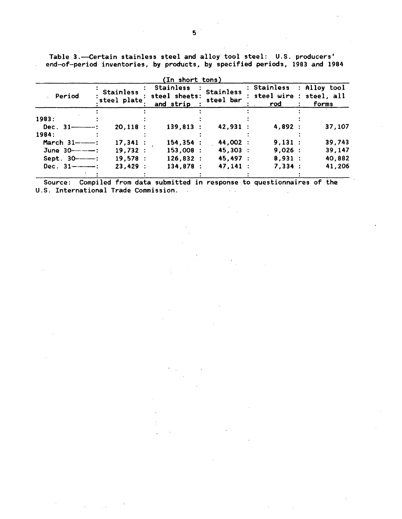Table 3.--Certain stainless steel and alloy tool steel: U.S. producers' end-of-period inventories, by products, by specified periods, 1983 and 1984

 $\ddot{\phantom{a}}$ 

|                      | (In short tons)                 |                                         |                               |                    |                                                  |  |  |  |  |  |
|----------------------|---------------------------------|-----------------------------------------|-------------------------------|--------------------|--------------------------------------------------|--|--|--|--|--|
| Period               | <b>Stainless</b><br>steel plate | Stainless<br>steel sheets:<br>and strip | <b>Stainless</b><br>steel bar | : Stainless<br>rod | : Alloy tool<br>steel wire : steel, all<br>forms |  |  |  |  |  |
| 1983:                |                                 |                                         |                               |                    |                                                  |  |  |  |  |  |
| Dec. $31$ ———:       | 20,118:                         | $139,813$ :                             | 42,931:                       | 4,892 :            | 37,107                                           |  |  |  |  |  |
| 1984:                |                                 |                                         |                               |                    |                                                  |  |  |  |  |  |
|                      | 17.341:                         | 154, 354:                               | 44,002 :                      | 9,131:             | 39,743                                           |  |  |  |  |  |
| June 30------------- | 19,732:                         | 153,008:                                | 45,303:                       | 9,026:             | 39,147                                           |  |  |  |  |  |
| $Sept. 30$ — $:$     | 19,578:                         | 126,832:                                | 45,497 :                      | 8.931:             | 40,882                                           |  |  |  |  |  |
| Dec. $31$ — — :      | 23,429:                         | 134,878:                                | 47,141:                       | 7,334:             | 41,206                                           |  |  |  |  |  |
|                      |                                 |                                         |                               |                    |                                                  |  |  |  |  |  |

Source: Compiled from data submitted in response to questionnaires of the U.S. International Trade Commission.  $\mathcal{L}^{\pm}$  .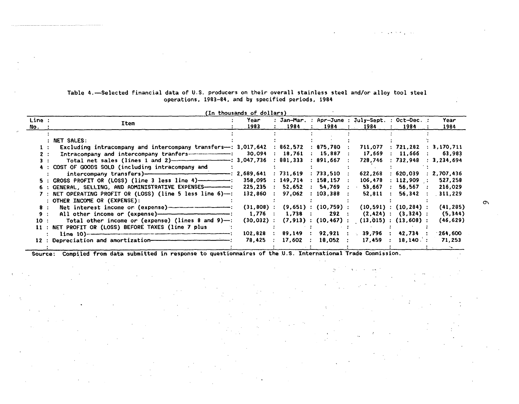|                  |                                                                                                                                                                                                                                                                                              | (In thousands of dollars)                  |                                                           |                                                                     |                                                                                                          |                                                                             |                                            |
|------------------|----------------------------------------------------------------------------------------------------------------------------------------------------------------------------------------------------------------------------------------------------------------------------------------------|--------------------------------------------|-----------------------------------------------------------|---------------------------------------------------------------------|----------------------------------------------------------------------------------------------------------|-----------------------------------------------------------------------------|--------------------------------------------|
| Line :<br>No. :  | Item                                                                                                                                                                                                                                                                                         | Year<br>1983                               | 1984                                                      | 1984                                                                | : Jan-Mar. : Apr-June : July-Sept. : Oct-Dec. :<br>1984<br>$\mathcal{L}^{\text{max}}$                    | 1984                                                                        | Year<br>1984                               |
| 2:               | $:$ NET SALES:<br>Excluding intracompany and intercompany transfers—: $3,017,642$ : $862,572$ : $875,780$ :<br>1:<br>Intracompany and intercompany tranfers------------------- 30,094<br>Total net sales (lines 1 and 2) --------------------------- : 3,047,736                             |                                            | : 18,761<br>: 881,333                                     | $: 15,887$ :<br>$: 891.667$ :                                       | 711,077<br>17,669<br>728,746                                                                             | : 721,282<br>: 11,666 : 63,983<br>: 732.948 : 3.234.694                     | : 3,170,711                                |
|                  | 4 : COST OF GOODS SOLD (including intracompany and<br>$5$ : GROSS PROFIT OR (LOSS) (line 3 less line 4)---------------<br>6 : GENERAL, SELLING, AND ADMINISTRATIVE EXPENSES-----------<br>7 : NET OPERATING PROFIT OR (LOSS) (line 5 less line 6)--: 132,860<br>: OTHER INCOME OR (EXPENSE): | 358,095<br>225,235                         | : 731,619<br>: 149,714<br>: 52,652<br>$\therefore$ 97,062 | $: 733,510$ :<br>$: 158,157$ :<br>$\therefore$ 103.388 $\therefore$ | 622,268<br>106,478<br>$54,769$ : 53,667                                                                  | : 620.039<br>: 112,909 :<br>56,567:<br>$\sim 10^{-11}$<br>52.811 : 56.342 : | 2,707,436<br>527,258<br>216,029<br>311,229 |
| 8:<br>9:<br>10 : | Net interest income or (expense) ---------------------<br>Total other income or (expense) (lines 8 and 9)-:<br>11 : NET PROFIT OR (LOSS) BEFORE TAXES (line 7 plus                                                                                                                           | $(31,808)$ :<br>$1,776$ :<br>$(30, 032)$ : | $1,738$ :                                                 | 292 :                                                               | $(9,651)$ : $(10,759)$ : $(10,591)$ : $(10,284)$ :<br>$(7,913)$ : $(10,467)$ : $(13,015)$ : $(13,608)$ : | $(2,424)$ : $(3,324)$ :                                                     | (41, 285)<br>(5, 344)<br>(46, 629)         |
|                  | 12 : Depreciation and amortization-                                                                                                                                                                                                                                                          | 102,828<br>78,425                          | 89,149 :<br>17,602<br>$\mathcal{L}$                       | $18,052$ :<br>$\sim 200$                                            | 92,921 : 39,796 :<br>17,459<br>$\sim$ 1.                                                                 | 42,734 :<br>18,140:                                                         | 1264,600<br>71,253                         |

## Table 4.~Selected financial data of U.S. producers on their overall stainless steel and/or alloy tool steel operations, 1983-84, and by specified periods, 1984

Source: Compiled from data submitted in response to questionnaires of the U.S. International Trade Commission.

 $\sigma$ 

and strategies of the control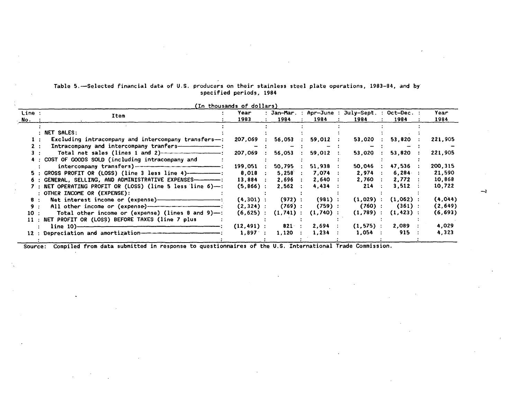|                   |                                                                | (In thousands of dollars) |              |                            |                                                         |                     |              |
|-------------------|----------------------------------------------------------------|---------------------------|--------------|----------------------------|---------------------------------------------------------|---------------------|--------------|
| Line :<br>$No.$ : | Item                                                           | Year<br>1983              | 1984         | 1984                       | : Jan-Mar. : Apr-June : July-Sept. : Oct-Dec. :<br>1984 | 1984                | Year<br>1984 |
|                   |                                                                |                           |              |                            |                                                         |                     |              |
|                   | : NET SALES:                                                   |                           |              |                            |                                                         |                     |              |
| $\mathbf{1}$ :    | Excluding intracompany and intercompany transfers- $\div$ :    | 207,069                   | 56,053       | 59,012                     | 53,020                                                  | 53,820              | 221,905      |
| 2:                |                                                                |                           |              |                            |                                                         |                     |              |
|                   | Total net sales (lines 1 and 2)----------------------          | 207,069                   | 56,053       | 59,012<br>$\sim$ 10 $\sim$ | 53,020                                                  | $53,820$ :          | 221,905      |
|                   | 4 : COST OF GOODS SOLD (including intracompany and             |                           |              |                            |                                                         |                     |              |
|                   |                                                                | 199,051                   | 50,795       | $51,938$ :                 | 50,046                                                  | 47,536 :            | 200, 315     |
|                   | 5 : GROSS PROFIT OR (LOSS) (line 3 less line 4)--------------  | 8,018                     | $5,258$ :    | 7.074:                     | 2,974                                                   | $6,284$ :           | 21,590       |
|                   | 6 : GENERAL, SELLING, AND ADMINISTRATIVE EXPENSES------------- | $13,884$ :                | 2.696:       | 2.640:                     | 2,760                                                   | 2,772<br>$\sim 100$ | 10,868       |
|                   | 7 : NET OPERATING PROFIT OR (LOSS) (line 5 less line 6)—:      | $(5, 866)$ :              | 2,562 :      | 4,434                      | 214                                                     | 3,512:              | 10,722       |
|                   | : OTHER INCOME OR (EXPENSE):                                   |                           |              |                            |                                                         |                     |              |
| 8.                |                                                                | $(4,301)$ :               | $(972)$ :    | (981):                     | $(1,029)$ :                                             | $(1,062)$ :         | (4,044)      |
| 9 :               |                                                                | $(2, 324)$ :              | (769):       | (759):                     | $(760)$ :                                               | (361):              | (2, 649)     |
| 10:               | Total other income or (expense) (lines 8 and 9)-:              | $(6, 625)$ :              | $(1, 741)$ : | $(1,740)$ :                | $(1, 789)$ :                                            | $(1, 423)$ :        | (6, 693)     |
|                   | 11 : NET PROFIT OR (LOSS) BEFORE TAXES (line 7 plus            |                           |              |                            |                                                         |                     |              |
|                   | $line 10$ )–                                                   | $(12, 491)$ :             | 821:         | 2,694                      | $(1, 575)$ :                                            | $2,089$ :           | 4,029        |
|                   | 12 : Depreciation and amortization-----                        | $1,897$ :                 | 1,120        | 1,234                      | 1,054                                                   | 915                 | 4,323        |

Table 5.-Selected financial data of U.S. producers on their stainless steel plate operations, 1983-84, and by specified periods, 1984

Source: Compiled from data submitted in response to questionnaires of the U.S. International Trade Commission.

-.J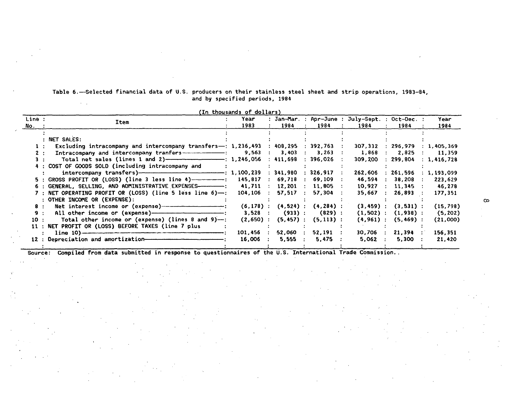| Table 6.-Selected financial data of U.S. producers on their stainless steel sheet and strip operations, 1983-84, |  |  |  |                                |  |  |  |
|------------------------------------------------------------------------------------------------------------------|--|--|--|--------------------------------|--|--|--|
|                                                                                                                  |  |  |  | and by specified periods, 1984 |  |  |  |

|                                                                                                 | (In thousands of dollars) |                         |                         |                                                         |                                 |                      |
|-------------------------------------------------------------------------------------------------|---------------------------|-------------------------|-------------------------|---------------------------------------------------------|---------------------------------|----------------------|
| Line :<br>Item<br>No. :                                                                         | Year<br>1983              | 1984                    | 1984<br>$\sim$ 1.       | : Jan-Mar. : Apr-June : July-Sept. : Oct-Dec. :<br>1984 | 1984<br>$\sim$ 100 $\sim$       | Year<br>1984         |
|                                                                                                 |                           |                         |                         |                                                         |                                 |                      |
| : NET SALES:                                                                                    |                           |                         |                         |                                                         |                                 |                      |
| Excluding intracompany and intercompany transfers-: $1,236,493 : 408,295 : 392,763 :$           |                           |                         |                         |                                                         | 307,332 : 296,979               | 1,405,369            |
| Intracompany and intercompany tranfers ————————: 9,563 : 3,403 : 3,263 :<br>2:                  |                           |                         |                         | 1,868                                                   | $\therefore$ 2,825 : 11,359     |                      |
| Total net sales (lines 1 and 2) ------------------------- : 1,246,056 : 411,698 : 396,026 :     |                           |                         |                         |                                                         | $309,200$ : 299,804 : 1,416,728 |                      |
| 4 : COST OF GOODS SOLD (including intracompany and                                              |                           |                         |                         |                                                         |                                 |                      |
| intercompany transfers)—————————————————————: 1,100,239 : 341,980 : 326,917 :                   |                           |                         |                         | 262,606                                                 | : 261,596                       | : 1,193,099          |
| 5 : GROSS PROFIT OR (LOSS) (line 3 less line 4) ------------- : 145,817 : 69,718 : 69,109 :     |                           |                         |                         | 46,594                                                  | : 38,208                        | 223,629<br>$\sim$ 1. |
| 6 : GENERAL. SELLING. AND ADMINISTRATIVE EXPENSES—————-:      41,711  :   12,201  :   11,805  : |                           |                         |                         | 10,927                                                  | $: 11,345$ :                    | 46,278               |
| 7 : NET OPERATING PROFIT OR (LOSS) (line 5 less line 6)-: 104,106 : 57,517 :                    |                           |                         | 57,304 :                |                                                         | 35,667 : 26,893 :               | 177.351              |
| : OTHER INCOME OR (EXPENSE):                                                                    |                           |                         |                         |                                                         |                                 |                      |
| 8 : Net interest income or (expense) ------------------------------                             | $(6, 178)$ :              |                         | $(4,524)$ : $(4,284)$ : |                                                         | $(3, 459)$ : $(3, 531)$ :       | (15, 798)            |
| 9:                                                                                              | $3,528$ :                 |                         | $(933)$ : $(829)$ :     |                                                         | $(1,502)$ : $(1,938)$ :         | (5, 202)             |
| Total other income or (expense) (lines 8 and 9)- $\rightarrow$ :<br>10:                         | $(2,650)$ :               |                         | $(5,457)$ : $(5,113)$ : |                                                         | $(4, 961)$ : $(5, 469)$ :       | (21,000)             |
| 11 : NET PROFIT OR (LOSS) BEFORE TAXES (line 7 plus                                             |                           |                         |                         |                                                         |                                 |                      |
|                                                                                                 | 101,456                   | $52,060$ :              | $52,191$ :              | $30,706$ :                                              | $21,394$ :                      | 156,351              |
| 12 : Depreciation and amortization-                                                             | 16,006                    | 5,555<br>$\mathbb{R}^n$ | $5,475$ :               | 5.062                                                   | $5,300$ :                       | 21,420               |

Source: Compiled from data submitted in response to questionnaires of the U.S. International Trade Commission..

 $\mathcal{L}$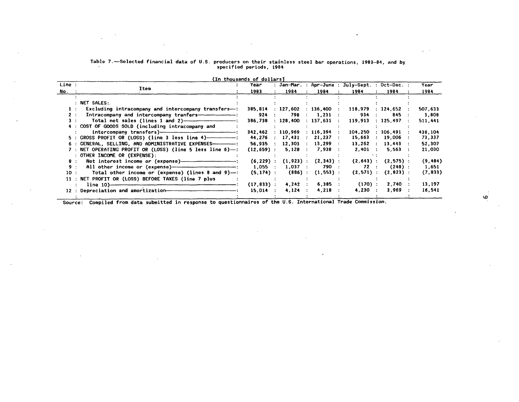| Table 7.—Selected financial data of U.S. producers on their stainless steel bar operations, 1983—84, and by |  |
|-------------------------------------------------------------------------------------------------------------|--|
| specified periods, 1984                                                                                     |  |

|        |                                                                                  | (In thousands of dollars) |                           |                                   |                                                 |                        |          |
|--------|----------------------------------------------------------------------------------|---------------------------|---------------------------|-----------------------------------|-------------------------------------------------|------------------------|----------|
| Line : |                                                                                  | Year                      |                           |                                   | : Jan-Mar. : Apr-June : July-Sept. : Oct-Dec. : |                        | Year     |
| No.    | Item                                                                             | 1983                      | 1984                      | 1984                              | 1984                                            | 1984<br>$\ddot{\cdot}$ | 1984     |
|        |                                                                                  |                           |                           |                                   |                                                 |                        |          |
|        | : NET SALES:                                                                     |                           |                           |                                   |                                                 |                        |          |
|        | Excluding intracompany and intercompany transfers- $\div$ 385,814 $\div$ 127,602 |                           |                           | $\div$ 136,400                    | 118,979                                         | : 124.652              | 507,633  |
| 2 :    | Intracompany and intercompany tranfers-------------------                        | 924                       | 798                       | $1,231$ :<br>$\mathbf{r}$         | 934                                             | 845                    | 3,808    |
| з.     | Total net sales (lines 1 and 2) $\overline{\hspace{2cm}}$                        | 386,738                   | : 128,400                 | $\therefore$ 137,631 $\therefore$ | 119,913                                         | : 125.497              | 511,441  |
|        | 4 : COST OF GOODS SOLD (including intracompany and                               |                           |                           |                                   |                                                 |                        |          |
|        |                                                                                  | 342.462                   | : 110.969                 | : 116, 394 :                      | 104,250                                         | : 106.491              | 438,104  |
|        |                                                                                  | 44,276                    | : 17,431                  | $\therefore$ 21,237 $\therefore$  | 15,663                                          | : 19,006               | 73,337   |
|        | 6 : GENERAL, SELLING, AND ADMINISTRATIVE EXPENSES--------------:                 | 56.935                    | 12,303<br><b>Contract</b> | $13.299$ :<br>$\sim$ 100 $\sim$   | 13.262                                          | 13.443                 | 52,307   |
|        | 7 : NET OPERATING PROFIT OR (LOSS) (line 5 less line 6)—:                        | $(12, 659)$ :             | 5.128                     | 7,938                             | $2,401$ :                                       | 5,563                  | 21,030   |
|        | : OTHER INCOME OR (EXPENSE):                                                     |                           |                           |                                   |                                                 |                        |          |
| 8:     |                                                                                  | $(6.229)$ :               | $(1,923)$ :               | $(2,343)$ :                       | $(2, 643)$ :                                    | $(2,575)$ :            | (9,484)  |
| 9:     |                                                                                  | $1.055$ :                 | $1,037$ :                 | 790 :                             | 72 :                                            | $(248)$ :              | 1,651    |
| 10:    | Total other income or (expense) (lines 8 and 9)--:                               | $(5, 174)$ :              |                           | $(886)$ : $(1,553)$ :             | $(2,571)$ :                                     | $(2, 823)$ :           | (7, 833) |
|        | 11 : NET PROFIT OR (LOSS) BEFORE TAXES (line 7 plus                              |                           |                           |                                   |                                                 |                        |          |
|        | $line 10$ = $10$ = $frac 1$                                                      | $(17, 833)$ .             | $4,242$ :                 | 6,385 :                           | $(170)$ :                                       | 2,740                  | 13,197   |
|        |                                                                                  | 15,014                    | 4,124                     | 4,218                             | 4.230:                                          | 3,969                  | 16,541   |
|        |                                                                                  |                           |                           |                                   |                                                 |                        |          |

 $\sim$ 

 $\sim$ 

 $\sim$ 

 $\sim$ 

Source: Compiled from data submitted in response to questionnaires of the U.S. International Trade Commission.

*\0* 

 $\omega \rightarrow 0$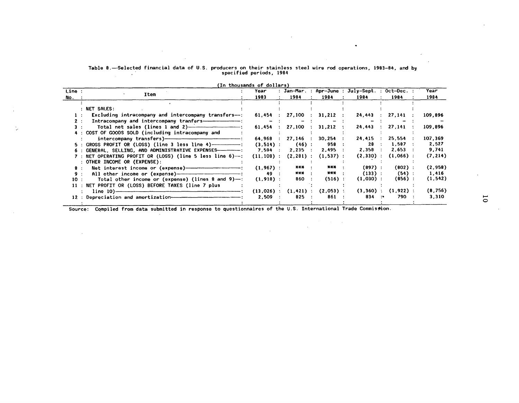# Table 8.~-Selected financial data of U.S. producers on their stainless steel wire rod operations, 1983-84, and by specified periods, 1984

 $\sim$ 

 $\mathcal{L}_{\mathcal{A}}$ 

 $\sim 100$ 

 $\alpha$ 

 $\ddot{\phantom{a}}$ 

|        |                                                                  | (In thousands of dollars) |                            |                          |                                                 |                         |          |  |
|--------|------------------------------------------------------------------|---------------------------|----------------------------|--------------------------|-------------------------------------------------|-------------------------|----------|--|
| Line : |                                                                  | Year                      |                            |                          | : Jan-Mar. : Apr-June : July-Sept. : Oct-Dec. : |                         | Year     |  |
| No. :  | Item                                                             | 1983                      | 1984                       | 1984                     | 1984                                            | 1984                    | 1984     |  |
|        |                                                                  |                           |                            |                          |                                                 |                         |          |  |
|        | NET SALES:                                                       |                           |                            |                          |                                                 |                         |          |  |
| 1 :    | Excluding intracompany and intercompany transfers---:            |                           | $61,454$ : 27,100 :        | $31,212$ :               |                                                 | 24,443 : 27,141         | 109,896  |  |
| 2:     | Intracompany and intercompany tranfers-----------------------    | $\overline{\phantom{a}}$  |                            |                          |                                                 |                         |          |  |
|        | Total net sales (lines 1 and 2) $\overline{\hspace{2cm}}$        |                           | 61,454 : 27,100            | $31,212$ :<br>$\sim 100$ | 24,443                                          | : 27.141                | 109,896  |  |
|        | 4 : COST OF GOODS SOLD (including intracompany and               |                           |                            |                          |                                                 |                         |          |  |
|        |                                                                  |                           | 64,968 : 27,146 :          | $30,254$ :               | $24,415$ :                                      | 25,554                  | 107,369  |  |
|        | $5$ : GROSS PROFIT OR (LOSS) (line 3 less line 4) $-$            | $(3,514)$ :               | $(46)$ :                   | 958 :                    | 28 :                                            | $1,587$ :               | 2,527    |  |
|        |                                                                  |                           | $2,235$ :                  | 2,495                    | 2,358 :                                         | $2,653$ :               | 9,741    |  |
|        | 7 : NET OPERATING PROFIT OR (LOSS) (line 5 less line 6)--:       |                           | $(11, 108)$ : $(2, 281)$ : | $(1, 537)$ :             |                                                 | $(2,330)$ : $(1,066)$ : | (7, 214) |  |
|        | : OTHER INCOME OR (EXPENSE):                                     |                           |                            |                          |                                                 |                         |          |  |
| 8 :    | Net interest income or (expense) ------------------------------- | $(1, 967)$ :              | *** :                      | ***                      | (897):                                          | $(802)$ :               | (2,958)  |  |
| 9:     |                                                                  | 49 :                      | *** :                      | *** :                    | $(133)$ :                                       | (54):                   | 1,416    |  |
| 10 :   | Total other income or (expense) (lines 8 and $9$ )--:            | $(1,918)$ :               | 860 :                      | $(516)$ :                | $(1,030)$ :                                     | $(856)$ :               | (1, 542) |  |
|        | 11 : NET PROFIT OR (LOSS) BEFORE TAXES (line 7 plus              |                           |                            |                          |                                                 |                         |          |  |
|        | $line 10$ $---$                                                  |                           | $(13,026)$ : $(1,421)$ :   | $(2,053)$ :              |                                                 | $(3,360)$ : $(1,922)$ : | (8,756)  |  |
|        |                                                                  | 2.509:                    | 825                        | 861 :                    | $834$ :                                         | 790                     | 3,310    |  |
|        |                                                                  |                           |                            |                          |                                                 |                         |          |  |

 $\sim$ 

 $\sim 10^{11}$  and  $\sim 10^{11}$ 

(In thousands of dollars)

Source: Compiled from data submitted in response to questionnaires of the U.S. International Trade Commission.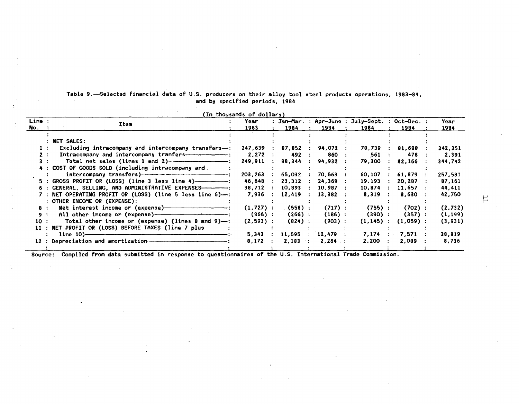|      | (In thousands of dollars)<br>Line :<br>: Jan-Mar. : Apr-June : July-Sept. : Oct-Dec. :<br>Year<br>Year<br>Item<br>No.<br>1984<br>1984<br>1984<br>1984<br>1983<br>1984<br>: NET SALES:<br>Excluding intracompany and intercompany transfers- $\leftarrow$ :<br>247,639<br>94,072 :<br>78,739 : 81,688<br>342,351<br>87,852<br>$\mathcal{L}$<br>Intracompany and intercompany tranfers--------------------------<br>2,272<br>492<br>860<br>561<br>478<br>2,391<br>2:<br>Total net sales (lines 1 and 2) $\overline{\phantom{a}}$ .<br>249,911<br>88,344<br>94,932 :<br>344,742<br>79,300<br>82,166<br>4 : COST OF GOODS SOLD (including intracompany and<br>257,581<br>61,879<br>203.263<br>65,032<br>$70,563$ :<br>60,107<br>46,648<br>19,193<br>20,287<br>87,161<br>23,312<br>$24,369$ :<br>6 : GENERAL, SELLING, AND ADMINISTRATIVE EXPENSES————————————————————————————————<br>44,411<br>10,893<br>$10,987$ :<br>10.874 : 11.657 :<br>38,712<br>7 : NET OPERATING PROFIT OR (LOSS) (line 5 less line 6)--:<br>7,936<br>12,419<br>$8,319$ :<br>8,630<br>13,382 :<br>42,750<br>: OTHER INCOME OR (EXPENSE):<br>(2,732)<br>$(558)$ :<br>$(702)$ :<br>Net interest income or (expense)------------------------------<br>$(1, 727)$ :<br>$(717)$ :<br>$(755)$ :<br>8: |              |            |            |              |             |          |
|------|--------------------------------------------------------------------------------------------------------------------------------------------------------------------------------------------------------------------------------------------------------------------------------------------------------------------------------------------------------------------------------------------------------------------------------------------------------------------------------------------------------------------------------------------------------------------------------------------------------------------------------------------------------------------------------------------------------------------------------------------------------------------------------------------------------------------------------------------------------------------------------------------------------------------------------------------------------------------------------------------------------------------------------------------------------------------------------------------------------------------------------------------------------------------------------------------------------------------------------------------------------------------|--------------|------------|------------|--------------|-------------|----------|
|      |                                                                                                                                                                                                                                                                                                                                                                                                                                                                                                                                                                                                                                                                                                                                                                                                                                                                                                                                                                                                                                                                                                                                                                                                                                                                    |              |            |            |              |             |          |
|      |                                                                                                                                                                                                                                                                                                                                                                                                                                                                                                                                                                                                                                                                                                                                                                                                                                                                                                                                                                                                                                                                                                                                                                                                                                                                    |              |            |            |              |             |          |
|      |                                                                                                                                                                                                                                                                                                                                                                                                                                                                                                                                                                                                                                                                                                                                                                                                                                                                                                                                                                                                                                                                                                                                                                                                                                                                    |              |            |            |              |             |          |
|      |                                                                                                                                                                                                                                                                                                                                                                                                                                                                                                                                                                                                                                                                                                                                                                                                                                                                                                                                                                                                                                                                                                                                                                                                                                                                    |              |            |            |              |             |          |
|      |                                                                                                                                                                                                                                                                                                                                                                                                                                                                                                                                                                                                                                                                                                                                                                                                                                                                                                                                                                                                                                                                                                                                                                                                                                                                    |              |            |            |              |             |          |
|      |                                                                                                                                                                                                                                                                                                                                                                                                                                                                                                                                                                                                                                                                                                                                                                                                                                                                                                                                                                                                                                                                                                                                                                                                                                                                    |              |            |            |              |             |          |
|      |                                                                                                                                                                                                                                                                                                                                                                                                                                                                                                                                                                                                                                                                                                                                                                                                                                                                                                                                                                                                                                                                                                                                                                                                                                                                    |              |            |            |              |             |          |
|      |                                                                                                                                                                                                                                                                                                                                                                                                                                                                                                                                                                                                                                                                                                                                                                                                                                                                                                                                                                                                                                                                                                                                                                                                                                                                    |              |            |            |              |             |          |
|      |                                                                                                                                                                                                                                                                                                                                                                                                                                                                                                                                                                                                                                                                                                                                                                                                                                                                                                                                                                                                                                                                                                                                                                                                                                                                    |              |            |            |              |             |          |
|      |                                                                                                                                                                                                                                                                                                                                                                                                                                                                                                                                                                                                                                                                                                                                                                                                                                                                                                                                                                                                                                                                                                                                                                                                                                                                    |              |            |            |              |             |          |
|      |                                                                                                                                                                                                                                                                                                                                                                                                                                                                                                                                                                                                                                                                                                                                                                                                                                                                                                                                                                                                                                                                                                                                                                                                                                                                    |              |            |            |              |             |          |
|      |                                                                                                                                                                                                                                                                                                                                                                                                                                                                                                                                                                                                                                                                                                                                                                                                                                                                                                                                                                                                                                                                                                                                                                                                                                                                    |              |            |            |              |             |          |
|      |                                                                                                                                                                                                                                                                                                                                                                                                                                                                                                                                                                                                                                                                                                                                                                                                                                                                                                                                                                                                                                                                                                                                                                                                                                                                    |              |            |            |              |             |          |
| 9:   |                                                                                                                                                                                                                                                                                                                                                                                                                                                                                                                                                                                                                                                                                                                                                                                                                                                                                                                                                                                                                                                                                                                                                                                                                                                                    | $(866)$ :    | $(266)$ :  | $(186)$ :  | (390):       | (357):      | (1, 199) |
| 10 : | Total other income or (expense) (lines 8 and 9)-:                                                                                                                                                                                                                                                                                                                                                                                                                                                                                                                                                                                                                                                                                                                                                                                                                                                                                                                                                                                                                                                                                                                                                                                                                  | $(2, 593)$ : | $(824)$ :  | $(903)$ :  | $(1, 145)$ : | $(1,059)$ : | (3, 931) |
|      | 11 : NET PROFIT OR (LOSS) BEFORE TAXES (line 7 plus                                                                                                                                                                                                                                                                                                                                                                                                                                                                                                                                                                                                                                                                                                                                                                                                                                                                                                                                                                                                                                                                                                                                                                                                                |              |            |            |              |             |          |
|      |                                                                                                                                                                                                                                                                                                                                                                                                                                                                                                                                                                                                                                                                                                                                                                                                                                                                                                                                                                                                                                                                                                                                                                                                                                                                    | 5,343        | $11,595$ : | $12,479$ : | $7,174$ :    | 7,571       | 38,819   |
|      | 12 : Depreciation and amortization ————————————————————                                                                                                                                                                                                                                                                                                                                                                                                                                                                                                                                                                                                                                                                                                                                                                                                                                                                                                                                                                                                                                                                                                                                                                                                            | 8,172        | $2,183$ :  | $2,264$ :  | $2,200$ :    | 2,089       | 8,736    |
|      |                                                                                                                                                                                                                                                                                                                                                                                                                                                                                                                                                                                                                                                                                                                                                                                                                                                                                                                                                                                                                                                                                                                                                                                                                                                                    |              |            |            |              |             |          |

Table 9.-Selected financial data of U.S. producers on their alloy tool steel products operations, 1983-84, and by specified periods, 1984

Source: Compiled from data submitted in response to questionnaires of the U.S. International Trade Commission.

 $\mathsf{L}$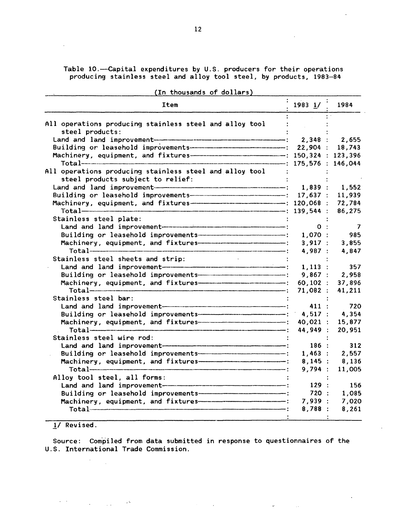Table 10.--Capital expenditures by U.S. producers for their operations producing stainless steel and alloy tool steel, by products, 1983-84

| (IN CHOUSANGS OF GOTTALS)                                                               |             |        |
|-----------------------------------------------------------------------------------------|-------------|--------|
| Item                                                                                    | $1983$ $1/$ | 1984   |
| All operations producing stainless steel and alloy tool                                 |             |        |
| steel products:                                                                         |             |        |
|                                                                                         |             |        |
| Building or leasehold improvements------------------------------- 22,904 :              |             | 18,743 |
| Machinery, equipment, and fixtures--------------------------------- : 150,324 : 123,396 |             |        |
| $Total$ 175,576 : 146,044                                                               |             |        |
| All operations producing stainless steel and alloy tool                                 |             |        |
| steel products subject to relief:                                                       |             |        |
|                                                                                         |             |        |
| Building or leasehold improvements-------------------------------- 17,637 :             |             | 11,939 |
| Machinery, equipment, and fixtures------------------------------- 120,068 :             |             | 72,784 |
|                                                                                         |             | 86,275 |
| Stainless steel plate:                                                                  |             |        |
|                                                                                         | 0:          | - 7    |
| Building or leasehold improvements-------------------------------- 1,070 :              |             | 985    |
|                                                                                         | 3,917:      | 3,855  |
|                                                                                         | 4,987:      | 4,847  |
| Stainless steel sheets and strip:                                                       |             |        |
| Land and land improvement $\overline{\hspace{1.5cm}1}$ , 113 :                          |             | 357    |
| Building or leasehold improvements--------------------------------- 9,867 : 2,958       |             |        |
|                                                                                         | $60, 102$ : | 37,896 |
|                                                                                         | 71,082:     | 41,211 |
| Stainless steel bar:                                                                    |             |        |
|                                                                                         | 411:        | 720    |
| Building or leasehold improvements-------------------------------- 4,517 :              |             | 4,354  |
|                                                                                         | $40,021$ :  | 15,877 |
|                                                                                         | 44,949 :    | 20,951 |
| Stainless steel wire rod:                                                               |             |        |
|                                                                                         | 186:        | 312    |
| Building or leasehold improvements-------------------------------- 1,463 :              |             | 2,557  |
|                                                                                         | $8,145$ :   | 8,136  |
|                                                                                         | 9,794:      | 11,005 |
| Alloy tool steel, all forms:                                                            |             |        |
|                                                                                         | 129:        | 156    |
|                                                                                         | 720:        | 1,085  |
|                                                                                         | 7,939:      | 7,020  |
|                                                                                         | 8,788:      | 8,261  |

(In thousands of dollars)

# 1/ Revised.

 $\Delta \sim 1$ 

 $\label{eq:2.1} \mathcal{F}^{(1)}_{\mathcal{F}}(\mathcal{F}^{(1)}) = \mathcal{F}^{(1)}_{\mathcal{F}}(\mathcal{F}^{(1)}) = \mathcal{F}^{(1)}_{\mathcal{F}}(\mathcal{F}^{(1)}) = \mathcal{F}^{(1)}_{\mathcal{F}}(\mathcal{F}^{(1)})$ 

 $\mathbb{R}^2$ 

 $\omega$ 

Source: Compiled from data submitted in response to questionnaires of the U.S. International Trade Commission.

 $\Phi_{\rm{max}}=0.01$  and

 $\bar{z}$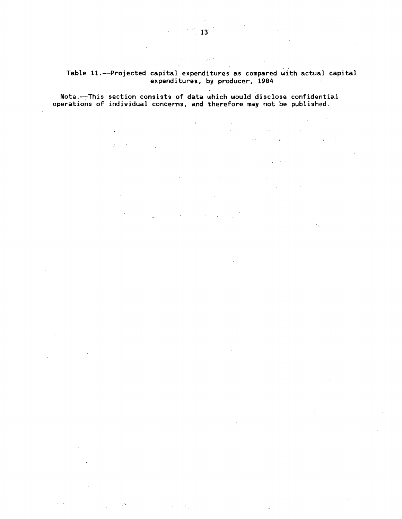# Table 11.-Projected capital expenditures as compared with actual capital expenditures, by producer, 1984

 $\mathcal{O}(\mathcal{O})$ 

# Note.—This section consists of data which would disclose confidential operations of individual concerns, and therefore may not be published.  $\sqrt{1-\epsilon}$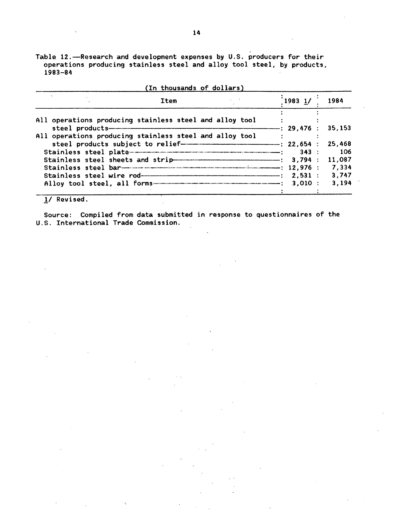Table 12.-Research and development expenses by U.S. producers for their operations producing stainless steel and alloy tool steel, by products,  $1983 - 84$ 

| (In thousands of dollars)                               |             |        |
|---------------------------------------------------------|-------------|--------|
| Item                                                    | $1983$ $1/$ | 1984   |
| All operations producing stainless steel and alloy tool |             | 35,153 |
| All operations producing stainless steel and alloy tool |             |        |
|                                                         |             | 25,468 |
|                                                         | 343:        | -- 106 |
|                                                         |             | 11,087 |
|                                                         |             | 7.334  |
|                                                         |             | 3.747  |
|                                                         |             | 3,194  |
|                                                         |             |        |

 $1/$  Revised.

Source: Compiled from data submitted in response to questionnaires of the U.S. International Trade Commission.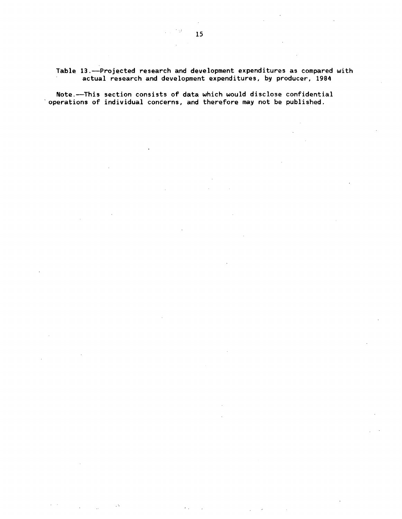Table 13.-Projected research and development expenditures as compared with actual research and development expenditures, by producer, 1984

Note.--This section consists of data which would disclose confidential 'operations of individual concerns, and therefore may not be published.

t g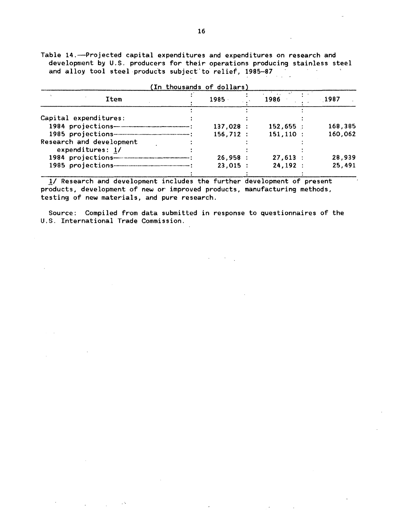Table 14.--Projected capital expenditures and expenditures on research and development by U.S. producers for their operations producing stainless steel<br>and allow tool steel products subject to relief 1985-87 and alloy tool steel products subject'to relief, 1985-87  $\mathbb{Z}$ 

|                                                | (In thousands of dollars) |                              |         |
|------------------------------------------------|---------------------------|------------------------------|---------|
| Item                                           | $1985 -$                  | <b>All Contracts</b><br>1986 | 1987    |
|                                                |                           |                              |         |
| Capital expenditures:                          |                           |                              |         |
| 1984 projections------------------------------ | 137,028:                  | $152,655$ :                  | 168,385 |
|                                                | 156, 712:                 | $151, 110$ :                 | 160,062 |
| Research and development                       |                           |                              |         |
| expenditures: 1/                               |                           |                              |         |
|                                                | 26,958:                   | 27,613:                      | 28,939  |
|                                                | $23,015$ :                | 24, 192:                     | 25,491  |
|                                                |                           |                              |         |

*11* Research and development includes the further development of present products, development of new or improved products, manufacturing methods, testing of new materials, and pure research.

Source: Compiled from data submitted in response to questionnaires of the U.S. International Trade Commission.

 $\sim$   $\sim$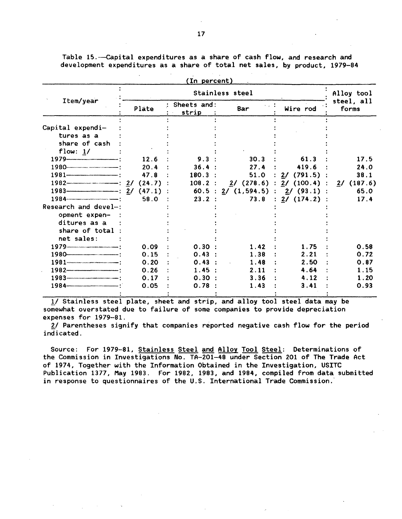Table 15.--Capital expenditures as a share of cash flow, and research and development expenditures as a share of total net sales, by product, 1979-84

|                                                                                                                                                                                                                                                                                                                                            |              | (In percent)         |                                              |                |                      |
|--------------------------------------------------------------------------------------------------------------------------------------------------------------------------------------------------------------------------------------------------------------------------------------------------------------------------------------------|--------------|----------------------|----------------------------------------------|----------------|----------------------|
|                                                                                                                                                                                                                                                                                                                                            |              |                      | Stainless steel                              |                | Alloy tool           |
| Item/year                                                                                                                                                                                                                                                                                                                                  | Plate        | Sheets and:<br>strip | Bar                                          | Wire rod       | steel, all<br>forms  |
| Capital expendi-<br>tures as a                                                                                                                                                                                                                                                                                                             |              |                      |                                              |                |                      |
| share of cash<br>flow: 1/                                                                                                                                                                                                                                                                                                                  |              |                      |                                              |                |                      |
|                                                                                                                                                                                                                                                                                                                                            | 12.6<br>20.4 | 9.3<br>36.4:         | 30.3<br>27.4                                 | 61.3<br>419.6  | 17.5<br>24.0         |
| $1981 -$                                                                                                                                                                                                                                                                                                                                   | 47.8         | $180.3$ :            | 51.0                                         | $2/$ (791.5)   | 38.1                 |
| $1982$ (24.7)<br>$1983$ $(47.1)$                                                                                                                                                                                                                                                                                                           |              | $108.2$ :<br>60.5:   | $2/$ (278.6)<br>$2/$ (1,594.5) : $2/$ (93.1) | : $2/$ (100.4) | $2/$ (187.6)<br>65.0 |
| Research and devel-:                                                                                                                                                                                                                                                                                                                       | 58.0         | 23.2                 | 73.8                                         | : 2/ (174.2)   | 17.4                 |
| opment expen-<br>ditures as a                                                                                                                                                                                                                                                                                                              |              |                      |                                              |                |                      |
| share of total<br>net sales:                                                                                                                                                                                                                                                                                                               |              |                      |                                              |                |                      |
| 1979                                                                                                                                                                                                                                                                                                                                       | 0.09         | 0.30                 | 1.42                                         | 1.75           | 0.58                 |
| 1980-                                                                                                                                                                                                                                                                                                                                      | 0.15         | $0.43$ :             | 1.38                                         | 2.21           | 0.72                 |
| $1981$ $\ldots$ $\ldots$ $\ldots$ $\ldots$ $\ldots$ $\ldots$ $\ldots$ $\ldots$ $\ldots$ $\ldots$ $\ldots$ $\ldots$ $\ldots$ $\ldots$ $\ldots$ $\ldots$ $\ldots$ $\ldots$ $\ldots$ $\ldots$ $\ldots$ $\ldots$ $\ldots$ $\ldots$ $\ldots$ $\ldots$ $\ldots$ $\ldots$ $\ldots$ $\ldots$ $\ldots$ $\ldots$ $\ldots$ $\ldots$ $\ldots$ $\ldots$ | 0.20         | $0.43$ :             | 1.48                                         | 2.50           | 0.87                 |
| $1982 -$                                                                                                                                                                                                                                                                                                                                   | 0.26         | 1.45:                | 2.11                                         | 4.64           | 1.15                 |
| 1984-                                                                                                                                                                                                                                                                                                                                      | 0.17<br>0.05 | 0.30 :<br>0.78       | 3.36<br>1.43                                 | 4.12<br>3.41   | 1.20<br>0.93         |
|                                                                                                                                                                                                                                                                                                                                            |              |                      |                                              |                |                      |

*11* Stainless steel plate, sheet and strip, and alloy tool steel data may be somewhat overstated due to failure of some companies to provide depreciation expenses for 1979-81.

2/ Parentheses signify that companies reported negative cash flow for the period indicated.

Source: For 1979-81, Stainless Steel and Alloy Tool Steel: Determinations of the Commission in Investigations No. TA-201-48 under Section 201 of The Trade Act of 1974, Together with the Information Obtained in the Investigation, USITC Publication 1377, May 1983. For 1982, 1983, and 1984, compiled from data submitted in response to questionnaires of the U.S. International Trade Commission.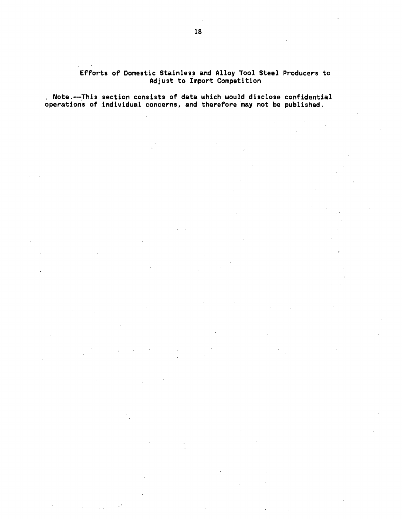# Efforts of Domestic Stainless and Alloy Tool Steel Producers to Adjust to Import Competition

 $\chi^2 \to 0$ 

. Note.---This section consists of data which would disclose confidential operations of individual concerns, and therefore may not be published.

 $\sim$   $\sim$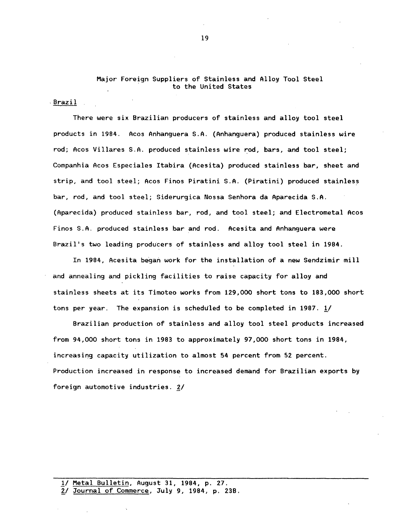# Major Foreign Suppliers of Stainless and Alloy Tool Steel to the United States

 $\cdot$  Brazil  $\pm$ 

There were six Brazilian producers of stainless and alloy tool steel products in 1984. Acos Anhanguera S.A. (Anhanguera) produced stainless wire rod; Acos Villares S.A. produced stainless wire rod, bars, and tool steel; Companhia Acos Especiales Itabira (Acesita) produced stainless bar, sheet and strip, and tool steel; Acos Finos Piratini S.A. (Piratini) produced stainless bar, rod, and tool steel; Siderurgica Nossa Senhora da Aparecida S.A. (Aparecida) produced stainless bar, rod, and tool steel; and Electrometal Acos Finos S.A. produced stainless bar and rod. Acesita and Anhanguera were Brazil's two leading producers of stainless and alloy tool steel in 1984.

In 1984, Acesita began work for the installation of a new Sendzimir mill and annealing and pickling facilities to raise capacity for alloy and stainless sheets at its Timoteo works from 129,000 short tons to 183,000 short tons per year. The expansion is scheduled to be completed in 1987. 1/

Brazilian production of stainless and alloy tool steel products increased from 94,000 short tons in 1983 to approximately 97,000 short tons in 1984, increasing capacity utilization to almost 54 percent from 52 percent. Production increased in response to increased demand for Brazilian exports by foreign automotive industries.  $2/$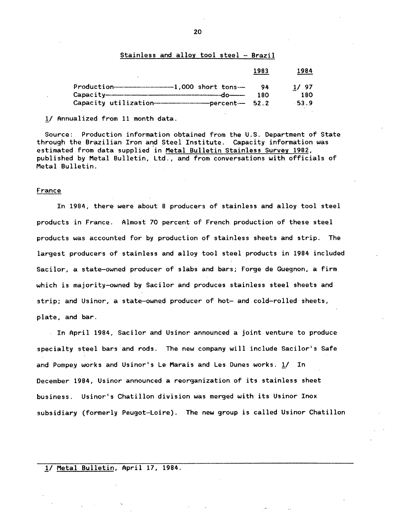## Stainless and alloy tool steel - Brazil

|                                                                                                                                                                                                                                                                                                                                                                                                                                                        | 1983      | 1984           |
|--------------------------------------------------------------------------------------------------------------------------------------------------------------------------------------------------------------------------------------------------------------------------------------------------------------------------------------------------------------------------------------------------------------------------------------------------------|-----------|----------------|
| $Production$ $        1,000$ short tons $-$<br>$Capacity$ $\overline{\qquad \qquad }$ $\qquad \qquad$ $\qquad \qquad$ $\qquad \qquad$ $\qquad \qquad$ $\qquad \qquad$ $\qquad \qquad$ $\qquad \qquad$ $\qquad \qquad$ $\qquad \qquad$ $\qquad \qquad$ $\qquad \qquad$ $\qquad \qquad$ $\qquad \qquad$ $\qquad \qquad$ $\qquad \qquad$ $\qquad \qquad$ $\qquad$ $\qquad \qquad$ $\qquad \qquad$ $\qquad$ $\qquad$ $\qquad$ $\qquad$ $\qquad$ $\qquad \$ | OΔ<br>180 | 1/97           |
| Capacity utilization------------------------------ percent--- 52.2                                                                                                                                                                                                                                                                                                                                                                                     |           | 180<br>$-53.9$ |

!/ Annualized from 11 month data.

Source: Production information obtained from the U.S. Department of State through the Brazilian Iron and Steel Institute. Capacity information was estimated from data supplied in Metal Bulletin Stainless Survey 1982, published by Metal Bulletin, Ltd., and from conversations with officials of Metal Bulletin.

#### France

In 1984, there were about 8 producers of stainless and alloy tool steel products in France. Almost 70 percent of French production of these steel products was accounted for by production of stainless sheets and strip. The largest producers of stainless and alloy tool steel products in 1984 included Sacilor, a state-owned producer of slabs and bars; Forge de Guegnon, a firm which is majority-owned by Sacilor and produces stainless steel sheets and strip; and Usinor, a state-owned producer of hot- and cold-rolled sheets, plate, and bar.

In April 1984, Sacilor and Usinor announced a joint venture to produce specialty steel bars and rods. The new company will include Sacilor's Safe and Pompey works and Usinor's Le Marais and Les Dunes works. 1/ In December 1984, Usinor announced a reorganization of its stainless sheet business. Usinor's Chatillon division was merged with its Usinor Inox subsidiary (formerly Peugot-Loire). The new group is called Usinor Chatillon

# .!/Metal Bulletin, April 17, 1984.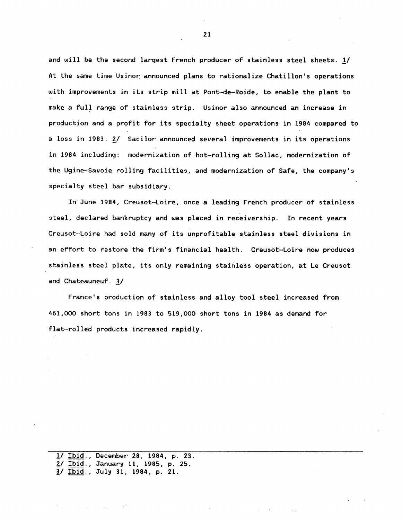and will be the second largest French producer of stainless steel sheets. 1/ At the same time Usinor announced plans to rationalize Chatillon's operations with improvements in its strip mill at Pont-de-Roide, to enable the plant to make a full range of stainless strip. Usinor also announced an increase in production and a profit for its specialty sheet operations in 1984 compared to a loss in 1983. 2/ Sacilor announced several improvements in its operations in 1984 including: modernization of hot-rolling at Sollac, modernization of the Ugine-Savoie rolling facilities, and modernization of Safe, the company's specialty steel bar subsidiary.

In June 1984, Creusot-Loire, once a leading French producer of stainless steel, declared bankruptcy and was placed in receivership. In recent years Creusot-Loire had sold many of its unprofitable stainless steel divisions in an effort to restore the firm's financial health. Creusot-Loire now produces stainless steel plate, its only remaining stainless operation, at Le Creusot and Chateauneuf. *11* 

France's production of stainless and alloy tool steel increased from 461,000 short tons in 1983 to 519,000 short tons in 1984 as demand for flat-rolled products increased rapidly.

1/ Ibid., December 28, 1984, p. 23. *11* Ibid., January 11, 1985, p. 25. !/Ibid., July 31, 1984, p. 21.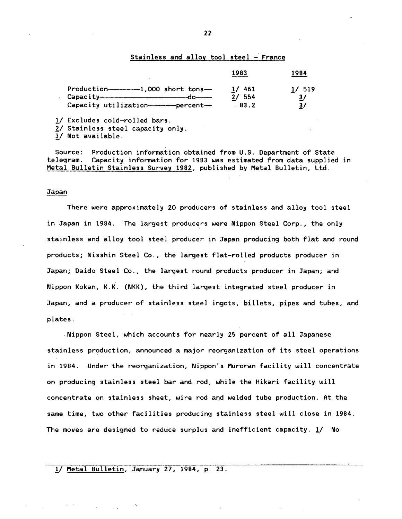## Stainless and alloy tool steel  $-$  France

|                                              | 1983     | 1984          |
|----------------------------------------------|----------|---------------|
|                                              | $1/$ 461 | 1/519         |
| $\cosh t$                                    | 2/ 554   | $\frac{3}{ }$ |
| Capacity utilization----------------percent- | 83.2     | 3/            |

!/ Excludes cold-rolled bars.

2/ Stainless steel capacity only.

3/ Not available.

Source: Production information obtained from U.S. Department of State<br>telegram. Capacity information for 1983 was estimated from data supplied Capacity information for 1983 was estimated from data supplied in Metal Bulletin Stainless Survey 1982, published by Metal Bulletin, Ltd.

#### Japan

There were approximately 20 producers of stainless and alloy tool steel in Japan in 1984. The largest producers were Nippon Steel Corp., the only stainless and alloy tool steel producer in Japan producing both flat and round products; Nisshin Steel Co., the largest flat-rolled products producer in Japan; Daido Steel Co., the largest round products producer in Japan; and Nippon Kokan, K.K. (NKK), the third largest integrated steel producer in Japan, and a producer of stainless steel ingots, billets, pipes and tubes, and plates.

Nippon Steel, which accounts for nearly 25 percent of all Japanese stainless production, announced a major reorganization of its steel operations in 1984. Under the reorganization, Nippon's Muroran facility will concentrate on producing stainless steel bar and rod, while the Hikari facility will concentrate on stainless sheet, wire rod and welded tube production. At the same time, two other facilities producing stainless steel will close in 1984. The moves are designed to reduce surplus and inefficient capacity.  $1/$  No

# 1/ Metal Bulletin, January 27, 1984, p. 23.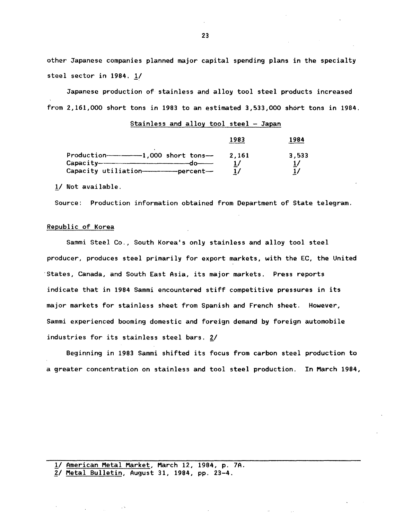other Japanese companies planned major capital spending plans in the specialty steel sector in 1984. *11* 

Japanese production of stainless and alloy tool steel products increased from 2,161,000 short tons in 1983 to an estimated 3,533,000 short tons in 1984.

|                                                                                                                                                                                                                                                                                                                                                      | 1983  | 1984  |
|------------------------------------------------------------------------------------------------------------------------------------------------------------------------------------------------------------------------------------------------------------------------------------------------------------------------------------------------------|-------|-------|
| $Production$ $1,000$ short tons $-$                                                                                                                                                                                                                                                                                                                  | 2.161 | 3,533 |
| $Capacity$ $\overline{\phantom{}}$ $\overline{\phantom{}}$ $\phantom{}$ $\phantom{}$ $\phantom{}$ $\phantom{}$ $\phantom{}$ $\phantom{}$ $\phantom{}$ $\phantom{}$ $\phantom{}$ $\phantom{}$ $\phantom{}$ $\phantom{}$ $\phantom{}$ $\phantom{}$ $\phantom{}$ $\phantom{}$ $\phantom{}$ $\phantom{}$ $\phantom{}$ $\phantom{}$ $\phantom{}$ $\phant$ | 17    |       |
| Capacity utiliation-------------------percent---                                                                                                                                                                                                                                                                                                     | 17    |       |

Stainless and alloy tool steel - Japan

!/ Not available.

Source: Production information obtained from Department of State telegram.

#### Republic of Korea

Sammi Steel Co., South Korea's only stainless and alloy tool steel producer, produces steel primarily for export markets, with the EC, the United States, Canada, and South East Asia, its major markets. Press reports indicate that in 1984 Sammi encountered stiff competitive pressures in its major markets for stainless sheet from Spanish and French sheet. However, Sammi experienced booming domestic and foreign demand by foreign automobile industries for its stainless steel bars. 2/

Beginning in 1983 Sammi shifted its focus from carbon steel production to a greater concentration on stainless and tool steel production. In March 1984,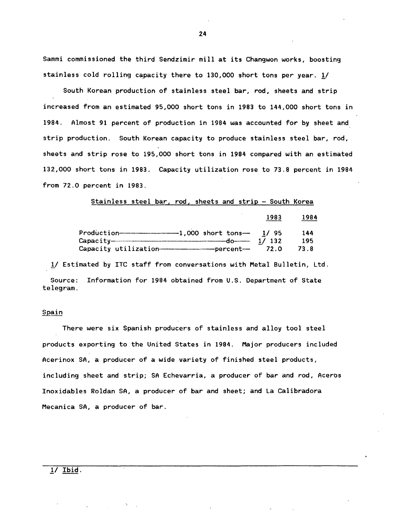Sammi commissioned the third Sendzimir mill at its Changwon works, boosting stainless cold rolling capacity there to 130,000 short tons per year. 1/

South Korean production of stainless steel bar, rod, sheets and strip increased from an estimated 95,000 short tons in 1983 to 144,000 short tons in 1984. Almost 91 percent of production in 1984 was accounted for by sheet and strip production. South Korean capacity to produce stainless steel bar, rod, sheets and strip rose to 195,000 short tons in 1984 compared with an estimated 132,000 short tons in 1983. Capacity utilization rose to 73.8 percent in 1984 from 72.0 percent in 1983.

#### Stainless steel bar, rod, sheets and strip - South Korea

|                                             | 1983  | Y 84 |
|---------------------------------------------|-------|------|
| $Production$ $        1,000$ short tons $-$ | 1/95  | 144  |
|                                             | 1/132 | 195  |
|                                             | 72.0  | 73.8 |

1/ Estimated by ITC staff from conversations with Metal Bulletin, Ltd.

Source: Information for 1984 obtained from U.S. Department of State telegram.

#### Spain

There were six Spanish producers of stainless and alloy tool steel products exporting to the United States in 1984. Major producers included Acerinox SA, a producer of a wide variety of finished steel products, including sheet and strip; SA Echevarria, a producer of bar and rod, Aceros Inoxidables Roldan SA, a producer of bar and sheet; and La Calibradora Mecanica SA, a producer of bar.

24

 $1/$  Ibid.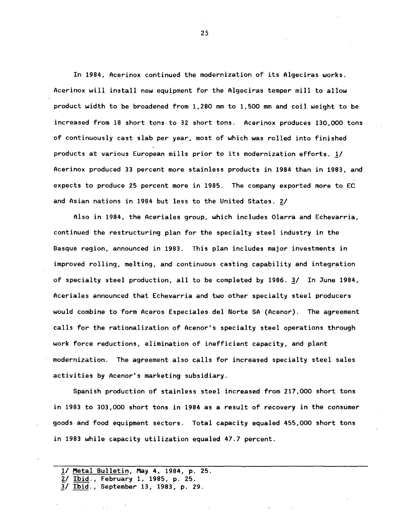In 1984, Acerinox continued the modernization of its Algeciras works. Acerinox will install new equipment for the Algeciras temper mill to allow product width to be broadened from 1,280 mm to l,500 mm and coil weight to be increased from 18 short tons to 32 short tons. Acerinox produces 130,000 tons of continuously cast slab per year, most of which was rolled into finished products at various European mills prior to its modernization efforts. *11*  Acerinox produced 33 percent more stainless products in 1984 than in 1983, and expects to produce 25 percent more in 1985. The company exported more to EC and Asian nations in 1984 but less to the United States. 2/

Also in 1984, the Aceriales group, which includes Olarra and Echevarria, continued the restructuring plan for the specialty steel industry in the Basque region, announced in 1983. This plan includes major investments in improved rolling, melting, and continuous casting capability and integration of specialty steel production, all to be completed by 1986. *11* In June 1984, Aceriales announced that Echevarria and two other specialty steel producers would combine to form Aceros Especiales del Norte SA (Acenor). The agreement calls for the rationalization of Acenor's specialty steel operations through work force reductions, elimination of inefficient capacity, and plant modernization. The agreement also calls for increased specialty steel sales activities by Acenor's marketing subsidiary.

Spanish production of stainless steel increased from 217,000 short tons in 1983 to 303,000 short tons in 1984 as a result of recovery in the consumer goods and food equipment sectors. Total capacity equaled 455,000 short tons in 1983 while capacity utilization equaled 47.7 percent.

- *11* ~etal Bulletin, May 4, 1984, p. 25.
- *ii* Ibid., February 1, 1985, p. 25. *11* Ibid., September 13, 1983, p. 29.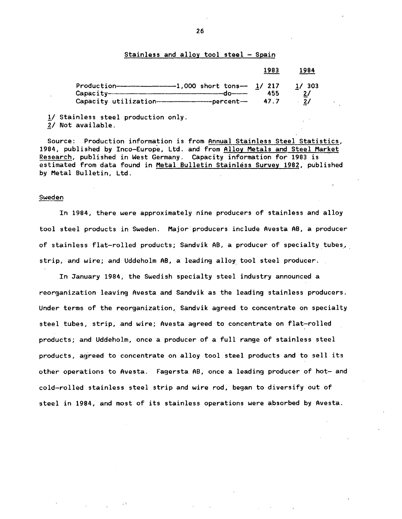## Stainless and alloy tool steel - Spain

|                                                                                                                                                                                                                                                                                                                                                                                                                                     | 1983        | 1984                                  |
|-------------------------------------------------------------------------------------------------------------------------------------------------------------------------------------------------------------------------------------------------------------------------------------------------------------------------------------------------------------------------------------------------------------------------------------|-------------|---------------------------------------|
| $Capacity$ $\overline{\phantom{}}$ $\overline{\phantom{}}$ $\phantom{\ddots}$ $\phantom{\ddots}$ $\phantom{\ddots}$ $\phantom{\ddots}$ $\phantom{\ddots}$ $\phantom{\ddots}$ $\phantom{\ddots}$ $\phantom{\ddots}$ $\phantom{\ddots}$ $\phantom{\ddots}$ $\phantom{\ddots}$ $\phantom{\ddots}$ $\phantom{\ddots}$ $\phantom{\ddots}$ $\phantom{\ddots}$ $\phantom{\ddots}$ $\phantom{\ddots}$ $\phantom{\ddots}$ $\phantom{\ddots}$ | 455<br>47.7 | 1/303<br>$\mathbf{2}\mathbf{/}$<br>2/ |

!/ Stainless steel production only. 2/ Not available.

Source: Production information is from Annual Stainless Steel Statistics, 1984, published by Inco-Europe, Ltd. and from Alloy Metals and Steel Market Research, published in West Germany. Capacity information for 1983 is estimated from data found in Metal Bulletin Stainless Survey 1982, published by Metal Bulletin, Ltd.

#### Sweden

In 1984, there were approximately nine producers of stainless and alloy tool steel products in Sweden. Major producers include Avesta AB, a producer of stainless flat-rolled products; Sandvik AB, a producer of specialty tubes, strip, and wire; and Uddeholm AB, a leading alloy tool steel producer.

In January 1984, the Swedish specialty steel industry announced a reorganization leaving Avesta and Sandvik as the leading stainless producers. Under terms of the reorganization, Sandvik agreed to concentrate on specialty steel tubes, strip, and wire; Avesta agreed to concentrate on flat-rolled products; and Uddeholm, once a producer of a full range of stainless steel products, agreed to concentrate on alloy tool steel products and to sell its other operations to Avesta. Fagersta AB, once a leading producer of hot- and cold-rolled stainless steel strip and wire rod, began to diversify out of steel in 1984, and most of its stainless operations were absorbed by Avesta.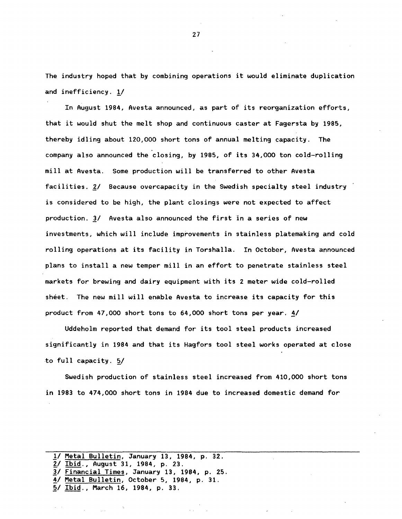The industry hoped that by combining operations it would eliminate duplication and inefficiency. !/

In August 1984, Avesta announced, as part of its reorganization efforts, that it would shut the melt shop and continuous caster at Fagersta by 1985, thereby idling about 120,000 short tons of annual melting capacity. The company also announced the closing, by 1985, of its 34,000 ton cold-rolling mill at Avesta. Some production will be transferred to other Avesta facilities. 2/ Because overcapacity in the Swedish specialty steel industry is considered to be high, the plant closings were not expected to affect production. 3/ Avesta also announced the first in a series of new investments, which will include improvements in stainless platemaking and cold rolling operations at its facility in Torshalla. In October, Avesta announced plans to install a new temper mill in an effort to penetrate stainless steel markets for brewing and dairy equipment with its 2 meter wide cold-rolled sheet. The new mill will enable Avesta to increase its capacity for this product from 47,000 short tons to 64,000 short tons per year. 4/

Uddeholm reported that demand for its tool steel products increased significantly in 1984 and that its Hagfors tool steel works operated at close to full capacity.  $5/$ 

Swedish production of stainless steel increased from 410,000 short tons in 1983 to 474,000 short tons in 1984 due to increased domestic demand for

*<sup>11</sup>* Metal Bulletin, January 13, 1984, p. 32. ~/Ibid., August 31, 1984, p. 23. *11* Financial Times, January 13, 1984, p. 25. !/Metal Bulletin, October 5, 1984, p. 31. ~/Ibid., March 16, 1984, p. 33.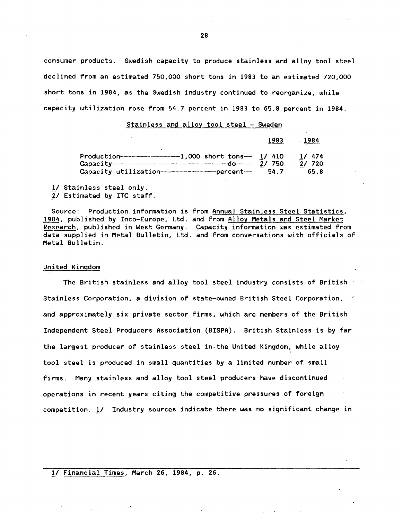consumer products. Swedish capacity to produce stainless and alloy tool steel declined from an estimated 750,000 short tons in 1983 to an estimated 720,000 short tons in 1984, as the Swedish industry continued to reorganize, while capacity utilization rose from 54.7 percent in 1983 to 65.8 percent in 1984.

#### Stainless and alloy tool steel - Sweden

|                                                     | 1983                        | 1984                   |
|-----------------------------------------------------|-----------------------------|------------------------|
| $Production$ $1,000$ short tons<br>$Capacity$ $d_0$ | 1/410<br>-750<br>21<br>54.7 | 1/474<br>2/720<br>65.8 |

 $1/$  Stainless steel only. *lt* Estimated by ITC staff.

Source: Production information is from Annual Stainless Steel Statistics, 1984, published by Inco-Europe, Ltd. and from Alloy Metals and Steel Market Research, published in West Germany. Capacity information was estimated from data supplied in Metal Bulletin, Ltd. and from conversations with officials of Metal Bulletin.

## United Kingdom

The British stainless and alloy tool steel industry consists of British  $\sim$   $\sim$ Stainless Corporation, a division of state-owned British Steel Corporation,  $\cdot$ and approximately six private sector firms, which are members of the British Independent Steel Producers Association (BISPA). British Stainless is by far the largest producer of stainless steel in-the United Kingdom, while alloy tool steel is produced in small quantities by a limited number of small firms. Many stainless and alloy tool steel producers have discontinued operations in recent years citing the competitive pressures of foreign competition. 1/ Industry sources indicate there was no significant change in

# 1/ Financial Times, March 26, 1984, p. 26.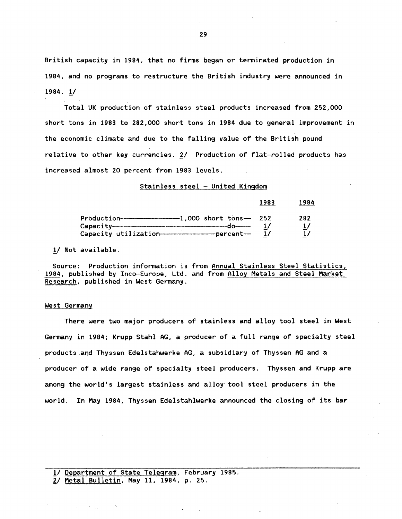British capacity in 1984, that no firms began or terminated production in 1984, and no programs to restructure the British industry were announced in  $1984.1/$ 

Total UK production of stainless steel products increased from 252,000 short tons in 1983 to 282,000 short tons in 1984 due to general improvement in the economic climate and due to the falling value of the British pound relative to other key currencies. 2/ Production of flat-rolled products has increased almost 20 percent from 1983 levels.

Stainless steel - United Kingdom

|                              | 1983 | 1984          |
|------------------------------|------|---------------|
|                              | 252  | 282           |
| $Capacity$ $\longrightarrow$ |      | $\frac{1}{2}$ |

1/ Not available.

Source: Production information is from Annual Stainless Steel Statistics, 1984, published by Inco-Europe, Ltd. and from Alloy Metals and Steel Market Research, published in West Germany.

#### West Germany

There were two major producers of stainless and alloy tool steel in West Germany in 1984; Krupp Stahl AG, a producer of a full range of specialty steel products and Thyssen Edelstahwerke AG, a subsidiary of Thyssen AG and a producer of a wide range of specialty steel producers. Thyssen and Krupp are among the world's largest stainless and alloy tool steel producers in the world. In May 1984, Thyssen Edelstahlwerke announced the closing of its bar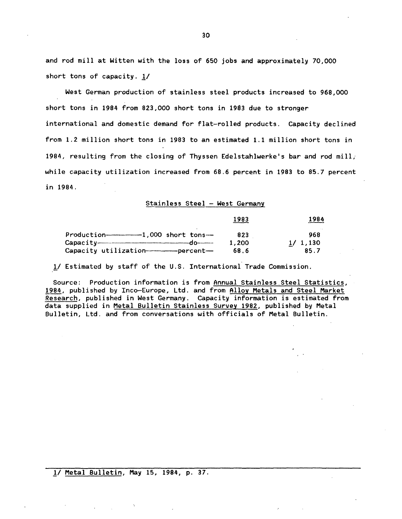and rod mill at Witten with the loss of 650 jobs and approximately 70,000 short tons of capacity. 1/

West German production of stainless steel products increased to 968,000 short tons in 1984 from 823,000 short tons in 1983 due to stronger international and domestic demand for flat-rolled products. Capacity declined from 1.2 million short tons in 1983 to an estimated 1.1 million short tons in 1984, resulting from the closing of Thyssen Edelstahlwerke's bar and rod mill, while capacity utilization increased from 68.6 percent in 1983 to 85.7 percent in 1984.

## Stainless Steel - West Germany

|                                                    | 1983  | 1984    |
|----------------------------------------------------|-------|---------|
| Production-------------------1.000 short tons---   | 823   | 968     |
| $\cosh y$                                          | 1,200 | 1/1,130 |
| Capacity utilization-------------------percent---- | 68.6  | 85.7    |

1/ Estimated by staff of the U.S. International Trade Commission.

Source: Production information is from Annual Stainless Steel Statistics, 1984, published by Inco-Europe, Ltd. and from Alloy Metals and Steel Market Research, published in West Germany. Capacity information is estimated from data supplied in Metal Bulletin Stainless Survey 1982, published by Metal Bulletin, Ltd. and from conversations with officials of Metal Bulletin.

1/ Metal Bulletin, May 15, 1984, p. 37.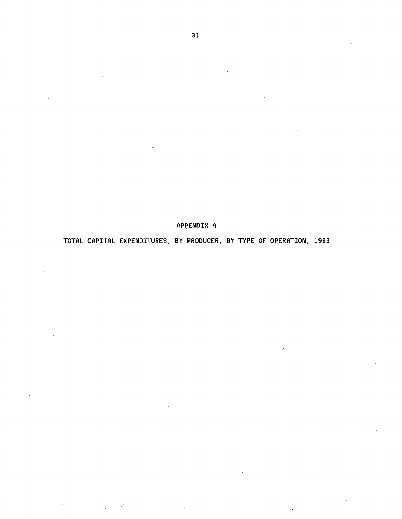# APPENDIX A

# TOTAL CAPITAL EXPENDITURES, BY PRODUCER, BY TYPE OF OPERATION, 1983